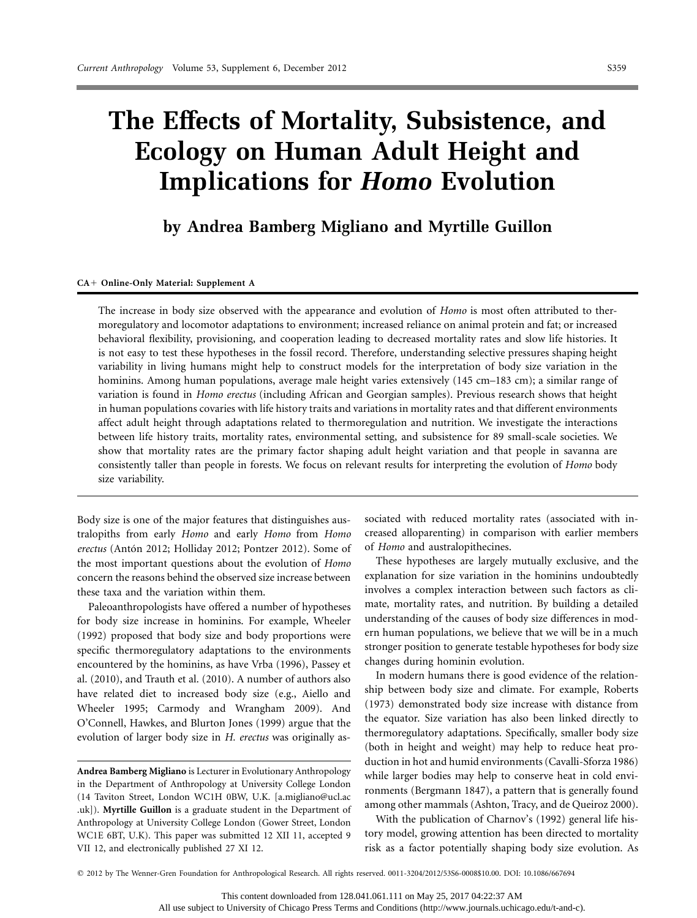# **The Effects of Mortality, Subsistence, and Ecology on Human Adult Height and Implications for** *Homo* **Evolution**

**by Andrea Bamberg Migliano and Myrtille Guillon**

#### **CA**- **Online-Only Material: Supplement A**

The increase in body size observed with the appearance and evolution of *Homo* is most often attributed to thermoregulatory and locomotor adaptations to environment; increased reliance on animal protein and fat; or increased behavioral flexibility, provisioning, and cooperation leading to decreased mortality rates and slow life histories. It is not easy to test these hypotheses in the fossil record. Therefore, understanding selective pressures shaping height variability in living humans might help to construct models for the interpretation of body size variation in the hominins. Among human populations, average male height varies extensively (145 cm–183 cm); a similar range of variation is found in *Homo erectus* (including African and Georgian samples). Previous research shows that height in human populations covaries with life history traits and variations in mortality rates and that different environments affect adult height through adaptations related to thermoregulation and nutrition. We investigate the interactions between life history traits, mortality rates, environmental setting, and subsistence for 89 small-scale societies. We show that mortality rates are the primary factor shaping adult height variation and that people in savanna are consistently taller than people in forests. We focus on relevant results for interpreting the evolution of *Homo* body size variability.

Body size is one of the major features that distinguishes australopiths from early *Homo* and early *Homo* from *Homo* erectus (Antón 2012; Holliday 2012; Pontzer 2012). Some of the most important questions about the evolution of *Homo* concern the reasons behind the observed size increase between these taxa and the variation within them.

Paleoanthropologists have offered a number of hypotheses for body size increase in hominins. For example, Wheeler (1992) proposed that body size and body proportions were specific thermoregulatory adaptations to the environments encountered by the hominins, as have Vrba (1996), Passey et al. (2010), and Trauth et al. (2010). A number of authors also have related diet to increased body size (e.g., Aiello and Wheeler 1995; Carmody and Wrangham 2009). And O'Connell, Hawkes, and Blurton Jones (1999) argue that the evolution of larger body size in *H. erectus* was originally as-

**Andrea Bamberg Migliano** is Lecturer in Evolutionary Anthropology in the Department of Anthropology at University College London (14 Taviton Street, London WC1H 0BW, U.K. [\[a.migliano@ucl.ac](mailto:a.migliano@ucl.ac.uk) [.uk\]](mailto:a.migliano@ucl.ac.uk)). **Myrtille Guillon** is a graduate student in the Department of Anthropology at University College London (Gower Street, London WC1E 6BT, U.K). This paper was submitted 12 XII 11, accepted 9 VII 12, and electronically published 27 XI 12.

sociated with reduced mortality rates (associated with increased alloparenting) in comparison with earlier members of *Homo* and australopithecines.

These hypotheses are largely mutually exclusive, and the explanation for size variation in the hominins undoubtedly involves a complex interaction between such factors as climate, mortality rates, and nutrition. By building a detailed understanding of the causes of body size differences in modern human populations, we believe that we will be in a much stronger position to generate testable hypotheses for body size changes during hominin evolution.

In modern humans there is good evidence of the relationship between body size and climate. For example, Roberts (1973) demonstrated body size increase with distance from the equator. Size variation has also been linked directly to thermoregulatory adaptations. Specifically, smaller body size (both in height and weight) may help to reduce heat production in hot and humid environments (Cavalli-Sforza 1986) while larger bodies may help to conserve heat in cold environments (Bergmann 1847), a pattern that is generally found among other mammals (Ashton, Tracy, and de Queiroz 2000).

With the publication of Charnov's (1992) general life history model, growing attention has been directed to mortality risk as a factor potentially shaping body size evolution. As

© 2012 by The Wenner-Gren Foundation for Anthropological Research. All rights reserved. 0011-3204/2012/53S6-0008\$10.00. DOI: 10.1086/667694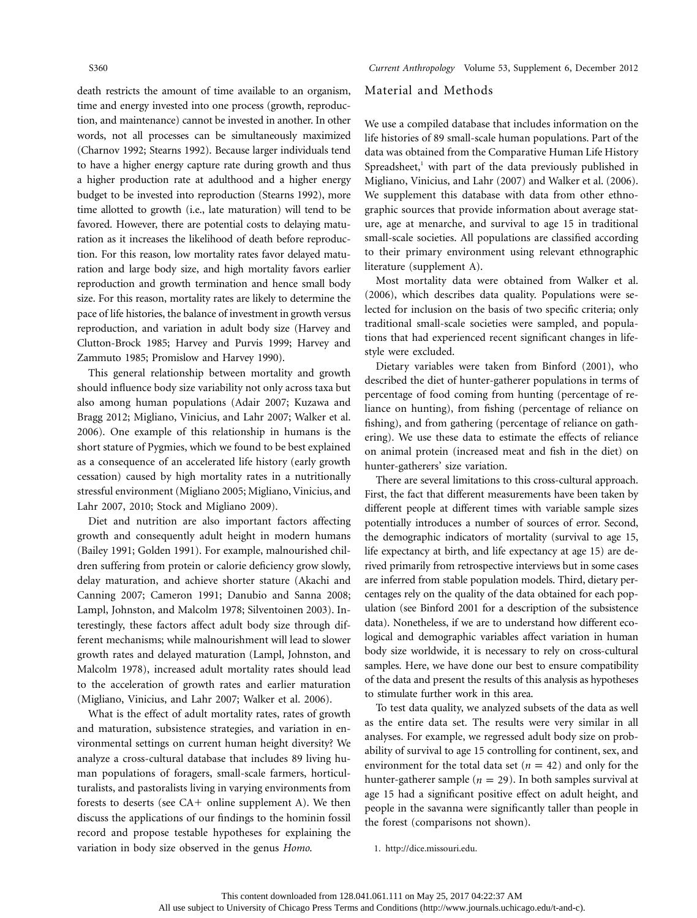death restricts the amount of time available to an organism, time and energy invested into one process (growth, reproduction, and maintenance) cannot be invested in another. In other words, not all processes can be simultaneously maximized (Charnov 1992; Stearns 1992). Because larger individuals tend to have a higher energy capture rate during growth and thus a higher production rate at adulthood and a higher energy budget to be invested into reproduction (Stearns 1992), more time allotted to growth (i.e., late maturation) will tend to be favored. However, there are potential costs to delaying maturation as it increases the likelihood of death before reproduction. For this reason, low mortality rates favor delayed maturation and large body size, and high mortality favors earlier reproduction and growth termination and hence small body size. For this reason, mortality rates are likely to determine the pace of life histories, the balance of investment in growth versus reproduction, and variation in adult body size (Harvey and Clutton-Brock 1985; Harvey and Purvis 1999; Harvey and Zammuto 1985; Promislow and Harvey 1990).

This general relationship between mortality and growth should influence body size variability not only across taxa but also among human populations (Adair 2007; Kuzawa and Bragg 2012; Migliano, Vinicius, and Lahr 2007; Walker et al. 2006). One example of this relationship in humans is the short stature of Pygmies, which we found to be best explained as a consequence of an accelerated life history (early growth cessation) caused by high mortality rates in a nutritionally stressful environment (Migliano 2005; Migliano, Vinicius, and Lahr 2007, 2010; Stock and Migliano 2009).

Diet and nutrition are also important factors affecting growth and consequently adult height in modern humans (Bailey 1991; Golden 1991). For example, malnourished children suffering from protein or calorie deficiency grow slowly, delay maturation, and achieve shorter stature (Akachi and Canning 2007; Cameron 1991; Danubio and Sanna 2008; Lampl, Johnston, and Malcolm 1978; Silventoinen 2003). Interestingly, these factors affect adult body size through different mechanisms; while malnourishment will lead to slower growth rates and delayed maturation (Lampl, Johnston, and Malcolm 1978), increased adult mortality rates should lead to the acceleration of growth rates and earlier maturation (Migliano, Vinicius, and Lahr 2007; Walker et al. 2006).

What is the effect of adult mortality rates, rates of growth and maturation, subsistence strategies, and variation in environmental settings on current human height diversity? We analyze a cross-cultural database that includes 89 living human populations of foragers, small-scale farmers, horticulturalists, and pastoralists living in varying environments from forests to deserts (see CA+ online supplement A). We then discuss the applications of our findings to the hominin fossil record and propose testable hypotheses for explaining the variation in body size observed in the genus *Homo*.

#### Material and Methods

We use a compiled database that includes information on the life histories of 89 small-scale human populations. Part of the data was obtained from the Comparative Human Life History Spreadsheet, $<sup>1</sup>$  with part of the data previously published in</sup> Migliano, Vinicius, and Lahr (2007) and Walker et al. (2006). We supplement this database with data from other ethnographic sources that provide information about average stature, age at menarche, and survival to age 15 in traditional small-scale societies. All populations are classified according to their primary environment using relevant ethnographic literature (supplement A).

Most mortality data were obtained from Walker et al. (2006), which describes data quality. Populations were selected for inclusion on the basis of two specific criteria; only traditional small-scale societies were sampled, and populations that had experienced recent significant changes in lifestyle were excluded.

Dietary variables were taken from Binford (2001), who described the diet of hunter-gatherer populations in terms of percentage of food coming from hunting (percentage of reliance on hunting), from fishing (percentage of reliance on fishing), and from gathering (percentage of reliance on gathering). We use these data to estimate the effects of reliance on animal protein (increased meat and fish in the diet) on hunter-gatherers' size variation.

There are several limitations to this cross-cultural approach. First, the fact that different measurements have been taken by different people at different times with variable sample sizes potentially introduces a number of sources of error. Second, the demographic indicators of mortality (survival to age 15, life expectancy at birth, and life expectancy at age 15) are derived primarily from retrospective interviews but in some cases are inferred from stable population models. Third, dietary percentages rely on the quality of the data obtained for each population (see Binford 2001 for a description of the subsistence data). Nonetheless, if we are to understand how different ecological and demographic variables affect variation in human body size worldwide, it is necessary to rely on cross-cultural samples. Here, we have done our best to ensure compatibility of the data and present the results of this analysis as hypotheses to stimulate further work in this area.

To test data quality, we analyzed subsets of the data as well as the entire data set. The results were very similar in all analyses. For example, we regressed adult body size on probability of survival to age 15 controlling for continent, sex, and environment for the total data set  $(n = 42)$  and only for the hunter-gatherer sample ( $n = 29$ ). In both samples survival at age 15 had a significant positive effect on adult height, and people in the savanna were significantly taller than people in the forest (comparisons not shown).

1. [http://dice.missouri.edu.](http://dice.missouri.edu)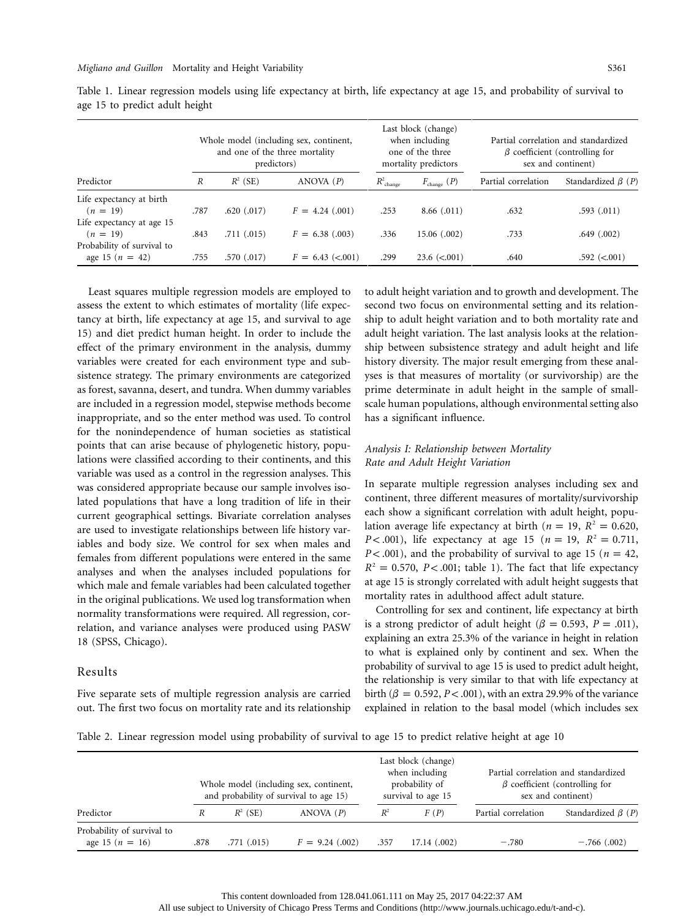| Last block (change)<br>when including<br>Whole model (including sex, continent,<br>one of the three | ght                            |                                                                              |
|-----------------------------------------------------------------------------------------------------|--------------------------------|------------------------------------------------------------------------------|
| sex and continent)<br>predictors)<br>mortality predictors                                           | and one of the three mortality | Partial correlation and standardized<br>$\beta$ coefficient (controlling for |

|  |                                |  |  |  |  | Table 1. Linear regression models using life expectancy at birth, life expectancy at age 15, and probability of survival to |  |  |
|--|--------------------------------|--|--|--|--|-----------------------------------------------------------------------------------------------------------------------------|--|--|
|  | age 15 to predict adult height |  |  |  |  |                                                                                                                             |  |  |

 $(n = 19)$  .787 .620 (.017)  $F = 4.24$  (.001) .253 8.66 (.011) .632 .593 (.011)

(*n* p 19) .843 .711 (.015) *F* p 6.38 (.003) .336 15.06 (.002) .733 .649 (.002)

age 15 (*n* = 42) .755 .570 (.017)  $F = 6.43$  (<.001) .299 23.6 (<.001) .640 .592 (<.001)

*R*  $R^2$  (SE) ANOVA (*P*)  $R^2$ <sub>chang</sub>

Least squares multiple regression models are employed to assess the extent to which estimates of mortality (life expectancy at birth, life expectancy at age 15, and survival to age 15) and diet predict human height. In order to include the effect of the primary environment in the analysis, dummy variables were created for each environment type and subsistence strategy. The primary environments are categorized as forest, savanna, desert, and tundra. When dummy variables are included in a regression model, stepwise methods become inappropriate, and so the enter method was used. To control for the nonindependence of human societies as statistical points that can arise because of phylogenetic history, populations were classified according to their continents, and this variable was used as a control in the regression analyses. This was considered appropriate because our sample involves isolated populations that have a long tradition of life in their current geographical settings. Bivariate correlation analyses are used to investigate relationships between life history variables and body size. We control for sex when males and females from different populations were entered in the same analyses and when the analyses included populations for which male and female variables had been calculated together in the original publications. We used log transformation when normality transformations were required. All regression, correlation, and variance analyses were produced using PASW 18 (SPSS, Chicago).

## Results

Predictor

Life expectancy at birth

Life expectancy at age 15

Probability of survival to

Five separate sets of multiple regression analysis are carried out. The first two focus on mortality rate and its relationship to adult height variation and to growth and development. The second two focus on environmental setting and its relationship to adult height variation and to both mortality rate and adult height variation. The last analysis looks at the relationship between subsistence strategy and adult height and life history diversity. The major result emerging from these analyses is that measures of mortality (or survivorship) are the prime determinate in adult height in the sample of smallscale human populations, although environmental setting also has a significant influence.

 $F_{\text{change}}$  (*P*) Partial correlation Standardized  $\beta$  (*P*)

#### *Analysis I: Relationship between Mortality Rate and Adult Height Variation*

In separate multiple regression analyses including sex and continent, three different measures of mortality/survivorship each show a significant correlation with adult height, population average life expectancy at birth ( $n = 19$ ,  $R^2 = 0.620$ ,  $P < .001$ ), life expectancy at age 15 ( $n = 19$ ,  $R^2 = 0.711$ ,  $P < .001$ ), and the probability of survival to age 15 ( $n = 42$ ,  $R^2 = 0.570$ ,  $P < .001$ ; table 1). The fact that life expectancy at age 15 is strongly correlated with adult height suggests that mortality rates in adulthood affect adult stature.

Controlling for sex and continent, life expectancy at birth is a strong predictor of adult height ( $\beta = 0.593$ ,  $P = .011$ ), explaining an extra 25.3% of the variance in height in relation to what is explained only by continent and sex. When the probability of survival to age 15 is used to predict adult height, the relationship is very similar to that with life expectancy at birth ( $\beta = 0.592$ ,  $P < .001$ ), with an extra 29.9% of the variance explained in relation to the basal model (which includes sex

Table 2. Linear regression model using probability of survival to age 15 to predict relative height at age 10

|                                                   | Whole model (including sex, continent,<br>and probability of survival to age 15) |            |                   | Last block (change)<br>when including<br>probability of<br>survival to age 15 |            | Partial correlation and standardized<br>$\beta$ coefficient (controlling for<br>sex and continent) |                          |
|---------------------------------------------------|----------------------------------------------------------------------------------|------------|-------------------|-------------------------------------------------------------------------------|------------|----------------------------------------------------------------------------------------------------|--------------------------|
| Predictor                                         | R                                                                                | $R^2$ (SE) | ANOVA $(P)$       | $R^2$                                                                         | F(P)       | Partial correlation                                                                                | Standardized $\beta$ (P) |
| Probability of survival to<br>age 15 ( $n = 16$ ) | .878                                                                             | .771(.015) | $F = 9.24$ (.002) | .357                                                                          | 17.14(002) | $-.780$                                                                                            | $-.766(.002)$            |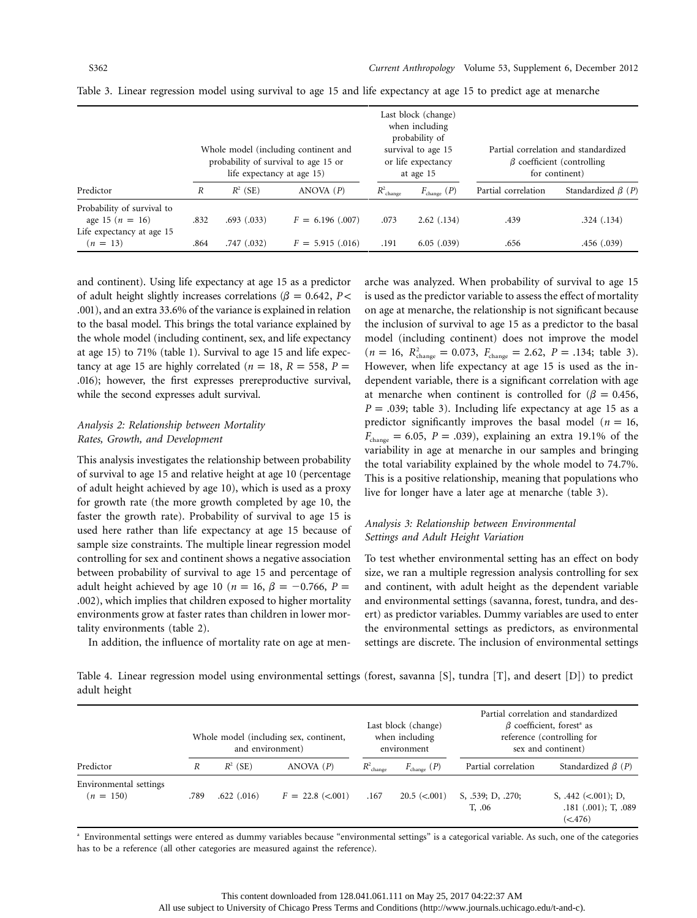|                                                   |      | life expectancy at age 15) | Whole model (including continent and<br>probability of survival to age 15 or |                       | Last block (change)<br>when including<br>probability of<br>survival to age 15<br>or life expectancy<br>at age 15 |                     | Partial correlation and standardized<br>$\beta$ coefficient (controlling<br>for continent) |
|---------------------------------------------------|------|----------------------------|------------------------------------------------------------------------------|-----------------------|------------------------------------------------------------------------------------------------------------------|---------------------|--------------------------------------------------------------------------------------------|
| Predictor                                         | R    | $R^2$ (SE)                 | ANOVA(P)                                                                     | $R^2_{\text{change}}$ | $F_{\text{change}}(P)$                                                                                           | Partial correlation | Standardized $\beta$ (P)                                                                   |
| Probability of survival to<br>age 15 ( $n = 16$ ) | .832 | .693(.033)                 | $F = 6.196$ (.007)                                                           | .073                  | $2.62$ $(.134)$                                                                                                  | .439                | .324(.134)                                                                                 |
| Life expectancy at age 15<br>$(n = 13)$           | .864 | .747(.032)                 | $F = 5.915(0.016)$                                                           | .191                  | $6.05$ $(.039)$                                                                                                  | .656                | .456(.039)                                                                                 |

Table 3. Linear regression model using survival to age 15 and life expectancy at age 15 to predict age at menarche

and continent). Using life expectancy at age 15 as a predictor of adult height slightly increases correlations ( $\beta = 0.642$ , *P* < .001), and an extra 33.6% of the variance is explained in relation to the basal model. This brings the total variance explained by the whole model (including continent, sex, and life expectancy at age 15) to 71% (table 1). Survival to age 15 and life expectancy at age 15 are highly correlated ( $n = 18$ ,  $R = 558$ ,  $P =$ .016); however, the first expresses prereproductive survival, while the second expresses adult survival.

#### *Analysis 2: Relationship between Mortality Rates, Growth, and Development*

This analysis investigates the relationship between probability of survival to age 15 and relative height at age 10 (percentage of adult height achieved by age 10), which is used as a proxy for growth rate (the more growth completed by age 10, the faster the growth rate). Probability of survival to age 15 is used here rather than life expectancy at age 15 because of sample size constraints. The multiple linear regression model controlling for sex and continent shows a negative association between probability of survival to age 15 and percentage of adult height achieved by age 10 ( $n = 16$ ,  $\beta = -0.766$ ,  $P =$ .002), which implies that children exposed to higher mortality environments grow at faster rates than children in lower mortality environments (table 2).

In addition, the influence of mortality rate on age at men-

arche was analyzed. When probability of survival to age 15 is used as the predictor variable to assess the effect of mortality on age at menarche, the relationship is not significant because the inclusion of survival to age 15 as a predictor to the basal model (including continent) does not improve the model  $(n = 16, R_{change}^2 = 0.073, F_{change} = 2.62, P = .134;$  table 3). However, when life expectancy at age 15 is used as the independent variable, there is a significant correlation with age at menarche when continent is controlled for ( $\beta = 0.456$ ,  $P = .039$ ; table 3). Including life expectancy at age 15 as a predictor significantly improves the basal model ( $n = 16$ ,  $F_{\text{change}} = 6.05, P = .039$ , explaining an extra 19.1% of the variability in age at menarche in our samples and bringing the total variability explained by the whole model to 74.7%. This is a positive relationship, meaning that populations who live for longer have a later age at menarche (table 3).

### *Analysis 3: Relationship between Environmental Settings and Adult Height Variation*

To test whether environmental setting has an effect on body size, we ran a multiple regression analysis controlling for sex and continent, with adult height as the dependent variable and environmental settings (savanna, forest, tundra, and desert) as predictor variables. Dummy variables are used to enter the environmental settings as predictors, as environmental settings are discrete. The inclusion of environmental settings

Table 4. Linear regression model using environmental settings (forest, savanna [S], tundra [T], and desert [D]) to predict adult height

|                                       |      | and environment) | Whole model (including sex, continent, |                       | Last block (change)<br>when including<br>environment |                             | Partial correlation and standardized<br>$\beta$ coefficient, forest <sup>a</sup> as<br>reference (controlling for<br>sex and continent) |
|---------------------------------------|------|------------------|----------------------------------------|-----------------------|------------------------------------------------------|-----------------------------|-----------------------------------------------------------------------------------------------------------------------------------------|
| Predictor                             | R    | $R^2$ (SE)       | ANOVA(P)                               | $R^2_{\text{change}}$ | $F_{\text{change}}(P)$                               | Partial correlation         | Standardized $\beta$ (P)                                                                                                                |
| Environmental settings<br>$(n = 150)$ | .789 | .622(.016)       | $F = 22.8 \ (= 001)$                   | .167                  | $20.5 \approx 0.001$                                 | S, .539; D, .270;<br>T, .06 | S, $.442$ ( $< 001$ ); D,<br>$.181$ $(.001)$ ; T, $.089$<br>(<.476)                                                                     |

<sup>a</sup> Environmental settings were entered as dummy variables because "environmental settings" is a categorical variable. As such, one of the categories has to be a reference (all other categories are measured against the reference).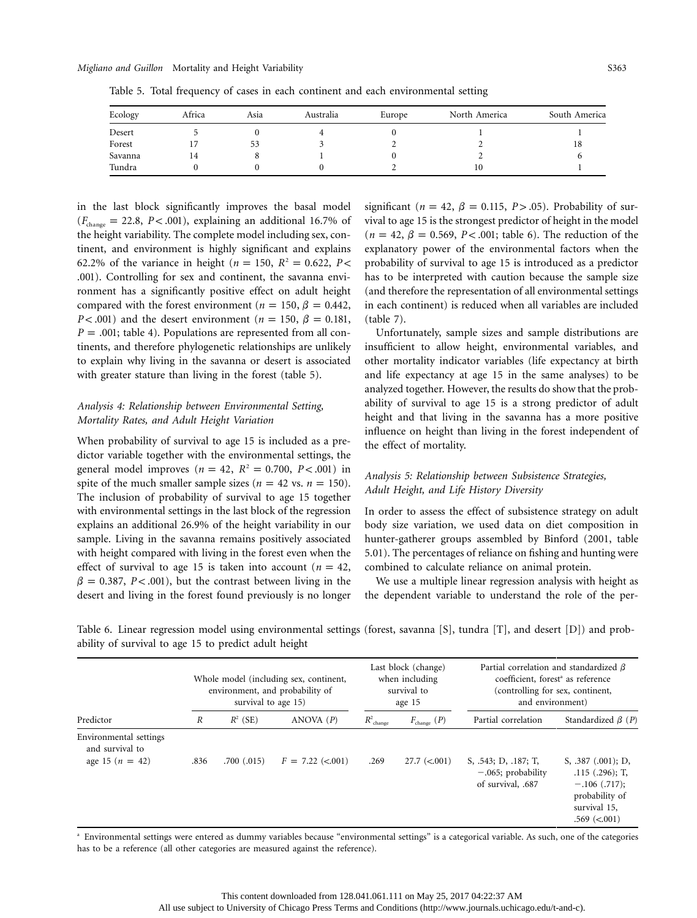| Ecology | Africa | Asia | Australia | Europe | North America | South America |
|---------|--------|------|-----------|--------|---------------|---------------|
| Desert  |        |      |           |        |               |               |
| Forest  |        | 53   |           |        |               | 18            |
| Savanna | 14     |      |           |        |               |               |
| Tundra  |        |      |           |        | 10            |               |

Table 5. Total frequency of cases in each continent and each environmental setting

in the last block significantly improves the basal model  $(F<sub>change</sub> = 22.8, P < .001)$ , explaining an additional 16.7% of the height variability. The complete model including sex, continent, and environment is highly significant and explains 62.2% of the variance in height ( $n = 150$ ,  $R^2 = 0.622$ ,  $P <$ .001). Controlling for sex and continent, the savanna environment has a significantly positive effect on adult height compared with the forest environment ( $n = 150$ ,  $\beta = 0.442$ , *P* < 0.01) and the desert environment ( $n = 150$ ,  $\beta = 0.181$ ,  $P = .001$ ; table 4). Populations are represented from all continents, and therefore phylogenetic relationships are unlikely to explain why living in the savanna or desert is associated with greater stature than living in the forest (table 5).

#### *Analysis 4: Relationship between Environmental Setting, Mortality Rates, and Adult Height Variation*

When probability of survival to age 15 is included as a predictor variable together with the environmental settings, the general model improves ( $n = 42$ ,  $R^2 = 0.700$ ,  $P < .001$ ) in spite of the much smaller sample sizes ( $n = 42$  vs.  $n = 150$ ). The inclusion of probability of survival to age 15 together with environmental settings in the last block of the regression explains an additional 26.9% of the height variability in our sample. Living in the savanna remains positively associated with height compared with living in the forest even when the effect of survival to age 15 is taken into account ( $n = 42$ ,  $\beta = 0.387, P < .001$ , but the contrast between living in the desert and living in the forest found previously is no longer

significant ( $n = 42$ ,  $\beta = 0.115$ ,  $P > .05$ ). Probability of survival to age 15 is the strongest predictor of height in the model  $(n = 42, \beta = 0.569, P < .001$ ; table 6). The reduction of the explanatory power of the environmental factors when the probability of survival to age 15 is introduced as a predictor has to be interpreted with caution because the sample size (and therefore the representation of all environmental settings in each continent) is reduced when all variables are included (table 7).

Unfortunately, sample sizes and sample distributions are insufficient to allow height, environmental variables, and other mortality indicator variables (life expectancy at birth and life expectancy at age 15 in the same analyses) to be analyzed together. However, the results do show that the probability of survival to age 15 is a strong predictor of adult height and that living in the savanna has a more positive influence on height than living in the forest independent of the effect of mortality.

#### *Analysis 5: Relationship between Subsistence Strategies, Adult Height, and Life History Diversity*

In order to assess the effect of subsistence strategy on adult body size variation, we used data on diet composition in hunter-gatherer groups assembled by Binford (2001, table 5.01). The percentages of reliance on fishing and hunting were combined to calculate reliance on animal protein.

We use a multiple linear regression analysis with height as the dependent variable to understand the role of the per-

|                                                                  |      | survival to age 15) | Whole model (including sex, continent,<br>environment, and probability of |                         | Last block (change)<br>when including<br>survival to<br>age 15 | Partial correlation and standardized $\beta$<br>coefficient, forest <sup>a</sup> as reference<br>(controlling for sex, continent,<br>and environment) |                                                                                                                |  |
|------------------------------------------------------------------|------|---------------------|---------------------------------------------------------------------------|-------------------------|----------------------------------------------------------------|-------------------------------------------------------------------------------------------------------------------------------------------------------|----------------------------------------------------------------------------------------------------------------|--|
| Predictor                                                        | R    | $R^2$ (SE)          | ANOVA(P)                                                                  | $R^2$ <sub>change</sub> | $F_{\text{change}}(P)$                                         | Partial correlation                                                                                                                                   | Standardized $\beta$ (P)                                                                                       |  |
| Environmental settings<br>and survival to<br>age 15 ( $n = 42$ ) | .836 | .700(.015)          | $F = 7.22 \le 0.001$                                                      | .269                    | $27.7$ ( $< 001$ )                                             | S, .543; D, .187; T,<br>$-.065$ ; probability<br>of survival, .687                                                                                    | S, $.387$ (.001); D,<br>$.115(.296);$ T,<br>$-.106(.717);$<br>probability of<br>survival 15,<br>$.569$ (<.001) |  |

Table 6. Linear regression model using environmental settings (forest, savanna [S], tundra [T], and desert [D]) and probability of survival to age 15 to predict adult height

<sup>a</sup> Environmental settings were entered as dummy variables because "environmental settings" is a categorical variable. As such, one of the categories has to be a reference (all other categories are measured against the reference).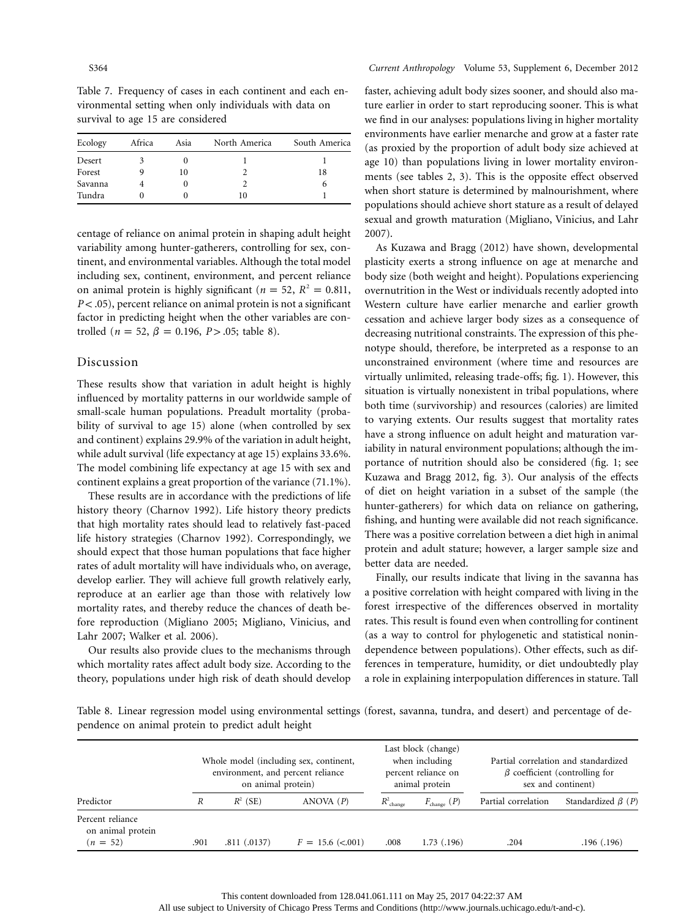Table 7. Frequency of cases in each continent and each environmental setting when only individuals with data on survival to age 15 are considered

| Ecology | Africa | Asia | North America | South America |
|---------|--------|------|---------------|---------------|
| Desert  |        |      |               |               |
| Forest  |        | 10   |               | 18            |
| Savanna |        |      |               |               |
| Tundra  |        |      | 10            |               |
|         |        |      |               |               |

centage of reliance on animal protein in shaping adult height variability among hunter-gatherers, controlling for sex, continent, and environmental variables. Although the total model including sex, continent, environment, and percent reliance on animal protein is highly significant ( $n = 52$ ,  $R^2 = 0.811$ , *P* < .05), percent reliance on animal protein is not a significant factor in predicting height when the other variables are controlled ( $n = 52$ ,  $\beta = 0.196$ ,  $P > .05$ ; table 8).

#### Discussion

These results show that variation in adult height is highly influenced by mortality patterns in our worldwide sample of small-scale human populations. Preadult mortality (probability of survival to age 15) alone (when controlled by sex and continent) explains 29.9% of the variation in adult height, while adult survival (life expectancy at age 15) explains 33.6%. The model combining life expectancy at age 15 with sex and continent explains a great proportion of the variance (71.1%).

These results are in accordance with the predictions of life history theory (Charnov 1992). Life history theory predicts that high mortality rates should lead to relatively fast-paced life history strategies (Charnov 1992). Correspondingly, we should expect that those human populations that face higher rates of adult mortality will have individuals who, on average, develop earlier. They will achieve full growth relatively early, reproduce at an earlier age than those with relatively low mortality rates, and thereby reduce the chances of death before reproduction (Migliano 2005; Migliano, Vinicius, and Lahr 2007; Walker et al. 2006).

Our results also provide clues to the mechanisms through which mortality rates affect adult body size. According to the theory, populations under high risk of death should develop faster, achieving adult body sizes sooner, and should also mature earlier in order to start reproducing sooner. This is what we find in our analyses: populations living in higher mortality environments have earlier menarche and grow at a faster rate (as proxied by the proportion of adult body size achieved at age 10) than populations living in lower mortality environments (see tables 2, 3). This is the opposite effect observed when short stature is determined by malnourishment, where populations should achieve short stature as a result of delayed sexual and growth maturation (Migliano, Vinicius, and Lahr 2007).

As Kuzawa and Bragg (2012) have shown, developmental plasticity exerts a strong influence on age at menarche and body size (both weight and height). Populations experiencing overnutrition in the West or individuals recently adopted into Western culture have earlier menarche and earlier growth cessation and achieve larger body sizes as a consequence of decreasing nutritional constraints. The expression of this phenotype should, therefore, be interpreted as a response to an unconstrained environment (where time and resources are virtually unlimited, releasing trade-offs; fig. 1). However, this situation is virtually nonexistent in tribal populations, where both time (survivorship) and resources (calories) are limited to varying extents. Our results suggest that mortality rates have a strong influence on adult height and maturation variability in natural environment populations; although the importance of nutrition should also be considered (fig. 1; see Kuzawa and Bragg 2012, fig. 3). Our analysis of the effects of diet on height variation in a subset of the sample (the hunter-gatherers) for which data on reliance on gathering, fishing, and hunting were available did not reach significance. There was a positive correlation between a diet high in animal protein and adult stature; however, a larger sample size and better data are needed.

Finally, our results indicate that living in the savanna has a positive correlation with height compared with living in the forest irrespective of the differences observed in mortality rates. This result is found even when controlling for continent (as a way to control for phylogenetic and statistical nonindependence between populations). Other effects, such as differences in temperature, humidity, or diet undoubtedly play a role in explaining interpopulation differences in stature. Tall

Table 8. Linear regression model using environmental settings (forest, savanna, tundra, and desert) and percentage of dependence on animal protein to predict adult height

|                                                     |      | environment, and percent reliance<br>on animal protein) | Whole model (including sex, continent, |                       | Last block (change)<br>when including<br>percent reliance on<br>animal protein |                     | Partial correlation and standardized<br>$\beta$ coefficient (controlling for<br>sex and continent) |
|-----------------------------------------------------|------|---------------------------------------------------------|----------------------------------------|-----------------------|--------------------------------------------------------------------------------|---------------------|----------------------------------------------------------------------------------------------------|
| Predictor                                           | R    | $R^2$ (SE)                                              | ANOVA $(P)$                            | $R^2_{\text{change}}$ | $F_{\text{change}}(P)$                                                         | Partial correlation | Standardized $\beta$ (P)                                                                           |
| Percent reliance<br>on animal protein<br>$(n = 52)$ | .901 | .811(.0137)                                             | $F = 15.6$ (<.001)                     | .008                  | 1.73(0.196)                                                                    | .204                | .196(.196)                                                                                         |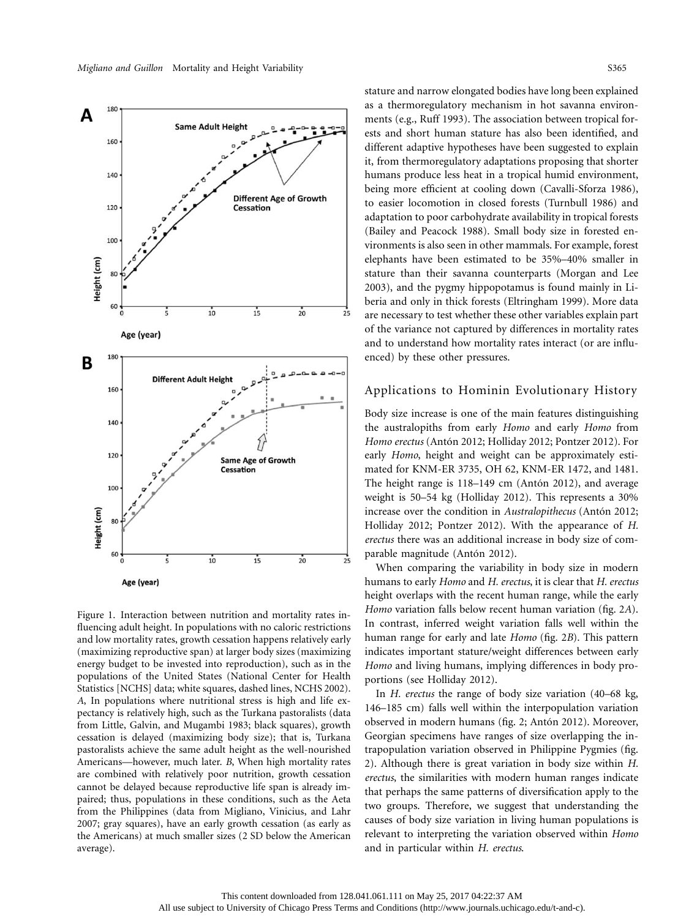

Figure 1. Interaction between nutrition and mortality rates influencing adult height. In populations with no caloric restrictions and low mortality rates, growth cessation happens relatively early (maximizing reproductive span) at larger body sizes (maximizing energy budget to be invested into reproduction), such as in the populations of the United States (National Center for Health Statistics [NCHS] data; white squares, dashed lines, NCHS 2002). *A*, In populations where nutritional stress is high and life expectancy is relatively high, such as the Turkana pastoralists (data from Little, Galvin, and Mugambi 1983; black squares), growth cessation is delayed (maximizing body size); that is, Turkana pastoralists achieve the same adult height as the well-nourished Americans—however, much later. *B*, When high mortality rates are combined with relatively poor nutrition, growth cessation cannot be delayed because reproductive life span is already impaired; thus, populations in these conditions, such as the Aeta from the Philippines (data from Migliano, Vinicius, and Lahr 2007; gray squares), have an early growth cessation (as early as the Americans) at much smaller sizes (2 SD below the American average).

stature and narrow elongated bodies have long been explained as a thermoregulatory mechanism in hot savanna environments (e.g., Ruff 1993). The association between tropical forests and short human stature has also been identified, and different adaptive hypotheses have been suggested to explain it, from thermoregulatory adaptations proposing that shorter humans produce less heat in a tropical humid environment, being more efficient at cooling down (Cavalli-Sforza 1986), to easier locomotion in closed forests (Turnbull 1986) and adaptation to poor carbohydrate availability in tropical forests (Bailey and Peacock 1988). Small body size in forested environments is also seen in other mammals. For example, forest elephants have been estimated to be 35%–40% smaller in stature than their savanna counterparts (Morgan and Lee 2003), and the pygmy hippopotamus is found mainly in Liberia and only in thick forests (Eltringham 1999). More data are necessary to test whether these other variables explain part of the variance not captured by differences in mortality rates and to understand how mortality rates interact (or are influenced) by these other pressures.

#### Applications to Hominin Evolutionary History

Body size increase is one of the main features distinguishing the australopiths from early *Homo* and early *Homo* from *Homo erectus* (Antón 2012; Holliday 2012; Pontzer 2012). For early *Homo*, height and weight can be approximately estimated for KNM-ER 3735, OH 62, KNM-ER 1472, and 1481. The height range is  $118-149$  cm (Antón 2012), and average weight is 50–54 kg (Holliday 2012). This represents a 30% increase over the condition in *Australopithecus* (Antón 2012; Holliday 2012; Pontzer 2012). With the appearance of *H. erectus* there was an additional increase in body size of comparable magnitude (Antón 2012).

When comparing the variability in body size in modern humans to early *Homo* and *H. erectus*, it is clear that *H. erectus* height overlaps with the recent human range, while the early *Homo* variation falls below recent human variation (fig. 2*A*). In contrast, inferred weight variation falls well within the human range for early and late *Homo* (fig. 2*B*). This pattern indicates important stature/weight differences between early *Homo* and living humans, implying differences in body proportions (see Holliday 2012).

In *H. erectus* the range of body size variation (40–68 kg, 146–185 cm) falls well within the interpopulation variation observed in modern humans (fig. 2; Antón 2012). Moreover, Georgian specimens have ranges of size overlapping the intrapopulation variation observed in Philippine Pygmies (fig. 2). Although there is great variation in body size within *H. erectus*, the similarities with modern human ranges indicate that perhaps the same patterns of diversification apply to the two groups. Therefore, we suggest that understanding the causes of body size variation in living human populations is relevant to interpreting the variation observed within *Homo* and in particular within *H. erectus*.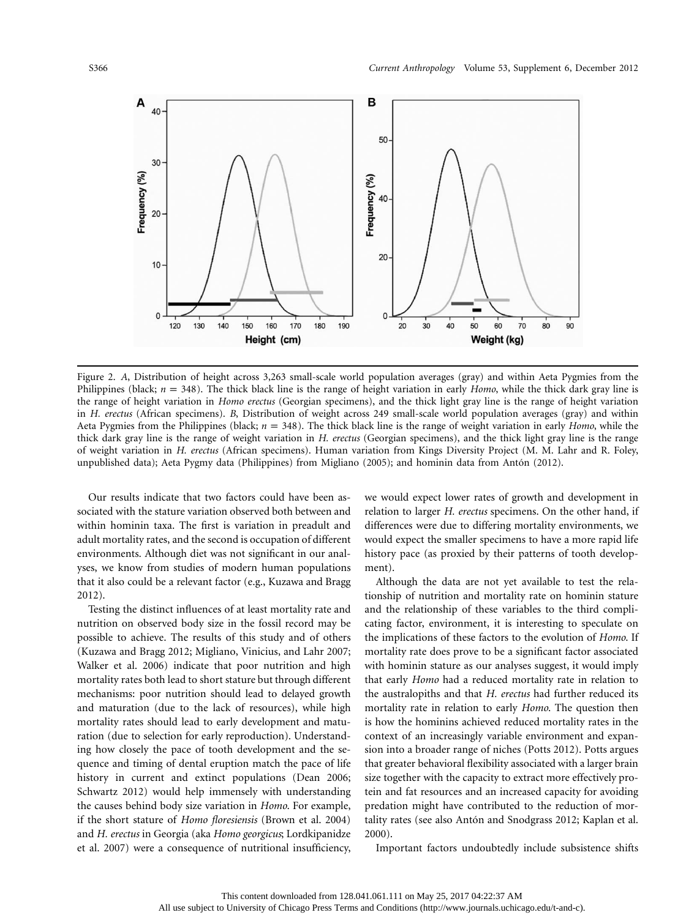

Figure 2. *A*, Distribution of height across 3,263 small-scale world population averages (gray) and within Aeta Pygmies from the Philippines (black;  $n = 348$ ). The thick black line is the range of height variation in early *Homo*, while the thick dark gray line is the range of height variation in *Homo erectus* (Georgian specimens), and the thick light gray line is the range of height variation in *H. erectus* (African specimens). *B*, Distribution of weight across 249 small-scale world population averages (gray) and within Aeta Pygmies from the Philippines (black;  $n = 348$ ). The thick black line is the range of weight variation in early *Homo*, while the thick dark gray line is the range of weight variation in *H. erectus* (Georgian specimens), and the thick light gray line is the range of weight variation in *H. erectus* (African specimens). Human variation from Kings Diversity Project (M. M. Lahr and R. Foley, unpublished data); Aeta Pygmy data (Philippines) from Migliano (2005); and hominin data from Antón (2012).

Our results indicate that two factors could have been associated with the stature variation observed both between and within hominin taxa. The first is variation in preadult and adult mortality rates, and the second is occupation of different environments. Although diet was not significant in our analyses, we know from studies of modern human populations that it also could be a relevant factor (e.g., Kuzawa and Bragg 2012).

Testing the distinct influences of at least mortality rate and nutrition on observed body size in the fossil record may be possible to achieve. The results of this study and of others (Kuzawa and Bragg 2012; Migliano, Vinicius, and Lahr 2007; Walker et al. 2006) indicate that poor nutrition and high mortality rates both lead to short stature but through different mechanisms: poor nutrition should lead to delayed growth and maturation (due to the lack of resources), while high mortality rates should lead to early development and maturation (due to selection for early reproduction). Understanding how closely the pace of tooth development and the sequence and timing of dental eruption match the pace of life history in current and extinct populations (Dean 2006; Schwartz 2012) would help immensely with understanding the causes behind body size variation in *Homo*. For example, if the short stature of *Homo floresiensis* (Brown et al. 2004) and *H. erectus* in Georgia (aka *Homo georgicus*; Lordkipanidze et al. 2007) were a consequence of nutritional insufficiency, we would expect lower rates of growth and development in relation to larger *H. erectus* specimens. On the other hand, if differences were due to differing mortality environments, we would expect the smaller specimens to have a more rapid life history pace (as proxied by their patterns of tooth development).

Although the data are not yet available to test the relationship of nutrition and mortality rate on hominin stature and the relationship of these variables to the third complicating factor, environment, it is interesting to speculate on the implications of these factors to the evolution of *Homo*. If mortality rate does prove to be a significant factor associated with hominin stature as our analyses suggest, it would imply that early *Homo* had a reduced mortality rate in relation to the australopiths and that *H. erectus* had further reduced its mortality rate in relation to early *Homo*. The question then is how the hominins achieved reduced mortality rates in the context of an increasingly variable environment and expansion into a broader range of niches (Potts 2012). Potts argues that greater behavioral flexibility associated with a larger brain size together with the capacity to extract more effectively protein and fat resources and an increased capacity for avoiding predation might have contributed to the reduction of mortality rates (see also Antón and Snodgrass 2012; Kaplan et al. 2000).

Important factors undoubtedly include subsistence shifts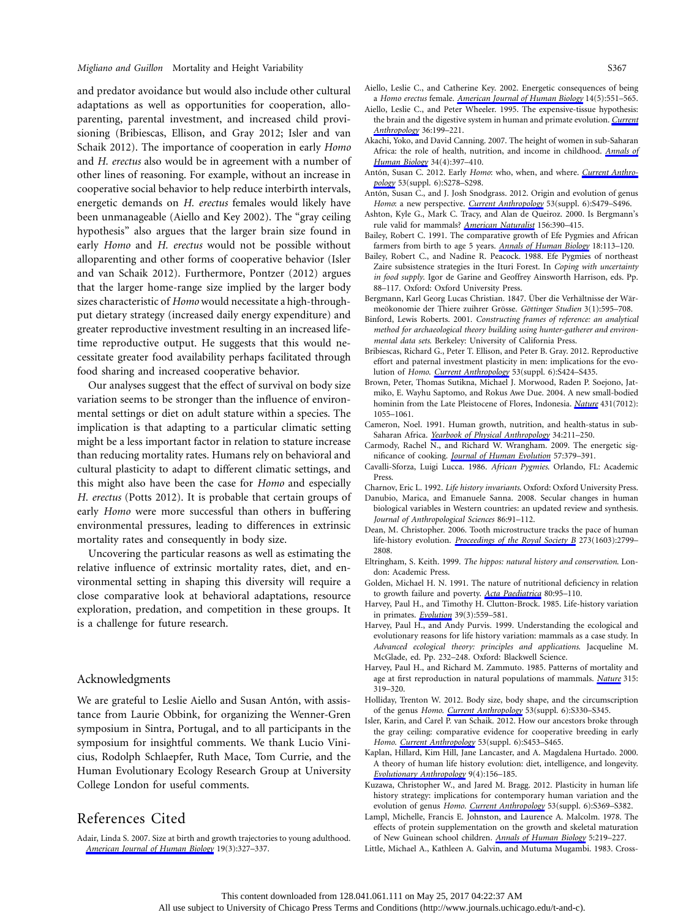#### *Migliano and Guillon* Mortality and Height Variability S367

and predator avoidance but would also include other cultural adaptations as well as opportunities for cooperation, alloparenting, parental investment, and increased child provisioning (Bribiescas, Ellison, and Gray 2012; Isler and van Schaik 2012). The importance of cooperation in early *Homo* and *H. erectus* also would be in agreement with a number of other lines of reasoning. For example, without an increase in cooperative social behavior to help reduce interbirth intervals, energetic demands on *H. erectus* females would likely have been unmanageable (Aiello and Key 2002). The "gray ceiling hypothesis" also argues that the larger brain size found in early *Homo* and *H. erectus* would not be possible without alloparenting and other forms of cooperative behavior (Isler and van Schaik 2012). Furthermore, Pontzer (2012) argues that the larger home-range size implied by the larger body sizes characteristic of *Homo* would necessitate a high-throughput dietary strategy (increased daily energy expenditure) and greater reproductive investment resulting in an increased lifetime reproductive output. He suggests that this would necessitate greater food availability perhaps facilitated through food sharing and increased cooperative behavior.

Our analyses suggest that the effect of survival on body size variation seems to be stronger than the influence of environmental settings or diet on adult stature within a species. The implication is that adapting to a particular climatic setting might be a less important factor in relation to stature increase than reducing mortality rates. Humans rely on behavioral and cultural plasticity to adapt to different climatic settings, and this might also have been the case for *Homo* and especially *H. erectus* (Potts 2012). It is probable that certain groups of early *Homo* were more successful than others in buffering environmental pressures, leading to differences in extrinsic mortality rates and consequently in body size.

Uncovering the particular reasons as well as estimating the relative influence of extrinsic mortality rates, diet, and environmental setting in shaping this diversity will require a close comparative look at behavioral adaptations, resource exploration, predation, and competition in these groups. It is a challenge for future research.

#### Acknowledgments

We are grateful to Leslie Aiello and Susan Antón, with assistance from Laurie Obbink, for organizing the Wenner-Gren symposium in Sintra, Portugal, and to all participants in the symposium for insightful comments. We thank Lucio Vinicius, Rodolph Schlaepfer, Ruth Mace, Tom Currie, and the Human Evolutionary Ecology Research Group at University College London for useful comments.

# References Cited

Adair, Linda S. 2007. Size at birth and growth trajectories to young adulthood. *[American Journal of Human Biology](http://www.journals.uchicago.edu/action/showLinks?crossref=10.1002%2Fajhb.20587)* 19(3):327–337.

- Aiello, Leslie C., and Catherine Key. 2002. Energetic consequences of being a *Homo erectus* female. *[American Journal of](http://www.journals.uchicago.edu/action/showLinks?crossref=10.1002%2Fajhb.10069) Human Biology* 14(5):551–565.
- Aiello, Leslie C., and Peter Wheeler. 1995. The expensive-tissue hypothesis: the brain and the digestive system in human and primate evolution. *[Current](http://www.journals.uchicago.edu/action/showLinks?system=10.1086%2F204350) [Anthropology](http://www.journals.uchicago.edu/action/showLinks?system=10.1086%2F204350)* 36:199–221.
- Akachi, Yoko, and David Canning. 2007. The height of women in sub-Saharan Africa: the role of health, nutrition, and income in childhood. *[Annals of](http://www.journals.uchicago.edu/action/showLinks?crossref=10.1080%2F03014460701452868) [Human Biology](http://www.journals.uchicago.edu/action/showLinks?crossref=10.1080%2F03014460701452868)* 34(4):397–410.
- Antón, Susan C. 2012. Early *Homo*: who, when, and where. *[Current Anthro](http://www.journals.uchicago.edu/action/showLinks?system=10.1086%2F667695)[pology](http://www.journals.uchicago.edu/action/showLinks?system=10.1086%2F667695)* 53(suppl. 6):S278–S298.
- Antón, Susan C., and J. Josh Snodgrass. 2012. Origin and evolution of genus *Homo*: a new perspective. *[Current Anthropology](http://www.journals.uchicago.edu/action/showLinks?system=10.1086%2F667692)* 53(suppl. 6):S479–S496.
- Ashton, Kyle G., Mark C. Tracy, and Alan de Queiroz. 2000. Is Bergmann's rule valid for mammals? *[American Naturalist](http://www.journals.uchicago.edu/action/showLinks?system=10.1086%2F303400)* 156:390–415.
- Bailey, Robert C. 1991. The comparative growth of Efe Pygmies and African farmers from birth to age 5 years. *[Annals of Human Biology](http://www.journals.uchicago.edu/action/showLinks?crossref=10.1080%2F03014469100001452)* 18:113–120.
- Bailey, Robert C., and Nadine R. Peacock. 1988. Efe Pygmies of northeast Zaire subsistence strategies in the Ituri Forest. In *Coping with uncertainty in food supply*. Igor de Garine and Geoffrey Ainsworth Harrison, eds. Pp. 88–117. Oxford: Oxford University Press.
- Bergmann, Karl Georg Lucas Christian. 1847. Über die Verhältnisse der Wärmeökonomie der Thiere zuihrer Grösse. *Göttinger Studien* 3(1):595–708.
- Binford, Lewis Roberts. 2001. *Constructing frames of reference: an analytical method for archaeological theory building using hunter-gatherer and environmental data sets*. Berkeley: University of California Press.
- Bribiescas, Richard G., Peter T. Ellison, and Peter B. Gray. 2012. Reproductive effort and paternal investment plasticity in men: implications for the evolution of *Homo*. *[Current Anthropology](http://www.journals.uchicago.edu/action/showLinks?system=10.1086%2F667538)* 53(suppl. 6):S424–S435.
- Brown, Peter, Thomas Sutikna, Michael J. Morwood, Raden P. Soejono, Jatmiko, E. Wayhu Saptomo, and Rokus Awe Due. 2004. A new small-bodied hominin from the Late Pleistocene of Flores, Indonesia. *[Nature](http://www.journals.uchicago.edu/action/showLinks?crossref=10.1038%2Fnature02999)* 431(7012): 1055–1061.
- Cameron, Noel. 1991. Human growth, nutrition, and health-status in sub-Saharan Africa. *[Yearbook of Physical Anthropology](http://www.journals.uchicago.edu/action/showLinks?crossref=10.1002%2Fajpa.1330340611)* 34:211–250.
- Carmody, Rachel N., and Richard W. Wrangham. 2009. The energetic significance of cooking. *[Journal of Human Evolution](http://www.journals.uchicago.edu/action/showLinks?crossref=10.1016%2Fj.jhevol.2009.02.011)* 57:379–391.
- Cavalli-Sforza, Luigi Lucca. 1986. *African Pygmies*. Orlando, FL: Academic Press.
- Charnov, Eric L. 1992. *Life history invariants*. Oxford: Oxford University Press. Danubio, Marica, and Emanuele Sanna. 2008. Secular changes in human biological variables in Western countries: an updated review and synthesis.
- *Journal of Anthropological Sciences* 86:91–112. Dean, M. Christopher. 2006. Tooth microstructure tracks the pace of human
- life-history evolution. *[Proceedings of the Royal Society B](http://www.journals.uchicago.edu/action/showLinks?crossref=10.1098%2Frspb.2006.3583)* 273(1603):2799– 2808.
- Eltringham, S. Keith. 1999. *The hippos: natural history and conservation*. London: Academic Press.
- Golden, Michael H. N. 1991. The nature of nutritional deficiency in relation to growth failure and poverty. *[Acta Paediatrica](http://www.journals.uchicago.edu/action/showLinks?crossref=10.1111%2Fj.1651-2227.1991.tb12012.x)* 80:95–110.
- Harvey, Paul H., and Timothy H. Clutton-Brock. 1985. Life-history variation in primates. *[Evolution](http://www.journals.uchicago.edu/action/showLinks?crossref=10.2307%2F2408653)* 39(3):559–581.
- Harvey, Paul H., and Andy Purvis. 1999. Understanding the ecological and evolutionary reasons for life history variation: mammals as a case study. In *Advanced ecological theory: principles and applications*. Jacqueline M. McGlade, ed. Pp. 232–248. Oxford: Blackwell Science.
- Harvey, Paul H., and Richard M. Zammuto. 1985. Patterns of mortality and age at first reproduction in natural populations of mammals. *[Nature](http://www.journals.uchicago.edu/action/showLinks?crossref=10.1038%2F315319a0)* 315: 319–320.
- Holliday, Trenton W. 2012. Body size, body shape, and the circumscription of the genus *Homo*. *[Current Anthropology](http://www.journals.uchicago.edu/action/showLinks?system=10.1086%2F667360)* 53(suppl. 6):S330–S345.
- Isler, Karin, and Carel P. van Schaik. 2012. How our ancestors broke through the gray ceiling: comparative evidence for cooperative breeding in early *Homo*. *[Current Anthropology](http://www.journals.uchicago.edu/action/showLinks?system=10.1086%2F667623)* 53(suppl. 6):S453–S465.
- Kaplan, Hillard, Kim Hill, Jane Lancaster, and A. Magdalena Hurtado. 2000. A theory of human life history evolution: diet, intelligence, and longevity. *[Evolutionary Anthropology](http://www.journals.uchicago.edu/action/showLinks?crossref=10.1002%2F1520-6505%282000%299%3A4%3C156%3A%3AAID-EVAN5%3E3.0.CO%3B2-7)* 9(4):156–185.
- Kuzawa, Christopher W., and Jared M. Bragg. 2012. Plasticity in human life history strategy: implications for contemporary human variation and the evolution of genus *Homo*. *[Current Anthropology](http://www.journals.uchicago.edu/action/showLinks?system=10.1086%2F667410)* 53(suppl. 6):S369–S382.
- Lampl, Michelle, Francis E. Johnston, and Laurence A. Malcolm. 1978. The effects of protein supplementation on the growth and skeletal maturation of New Guinean school children. *[Annals of Human Biology](http://www.journals.uchicago.edu/action/showLinks?crossref=10.1080%2F03014467800002841)* 5:219–227.
- Little, Michael A., Kathleen A. Galvin, and Mutuma Mugambi. 1983. Cross-